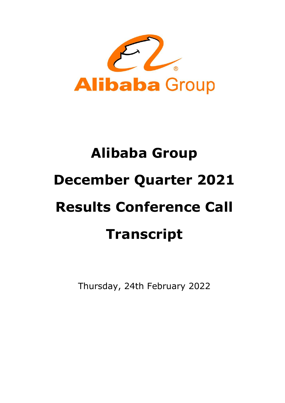

# Alibaba Group December Quarter 2021 Results Conference Call Transcript

Thursday, 24th February 2022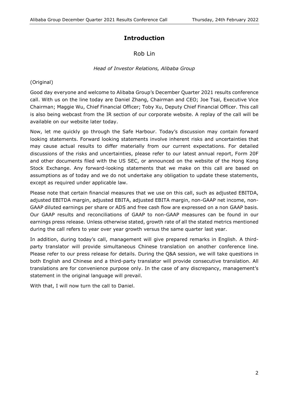# **Introduction**

# Rob Lin

#### Head of Investor Relations, Alibaba Group

#### (Original)

Good day everyone and welcome to Alibaba Group's December Quarter 2021 results conference call. With us on the line today are Daniel Zhang, Chairman and CEO; Joe Tsai, Executive Vice Chairman; Maggie Wu, Chief Financial Officer; Toby Xu, Deputy Chief Financial Officer. This call is also being webcast from the IR section of our corporate website. A replay of the call will be available on our website later today.

Now, let me quickly go through the Safe Harbour. Today's discussion may contain forward looking statements. Forward looking statements involve inherent risks and uncertainties that may cause actual results to differ materially from our current expectations. For detailed discussions of the risks and uncertainties, please refer to our latest annual report, Form 20F and other documents filed with the US SEC, or announced on the website of the Hong Kong Stock Exchange. Any forward-looking statements that we make on this call are based on assumptions as of today and we do not undertake any obligation to update these statements, except as required under applicable law.

Please note that certain financial measures that we use on this call, such as adjusted EBITDA, adjusted EBITDA margin, adjusted EBITA, adjusted EBITA margin, non-GAAP net income, non-GAAP diluted earnings per share or ADS and free cash flow are expressed on a non GAAP basis. Our GAAP results and reconciliations of GAAP to non-GAAP measures can be found in our earnings press release. Unless otherwise stated, growth rate of all the stated metrics mentioned during the call refers to year over year growth versus the same quarter last year.

In addition, during today's call, management will give prepared remarks in English. A thirdparty translator will provide simultaneous Chinese translation on another conference line. Please refer to our press release for details. During the Q&A session, we will take questions in both English and Chinese and a third-party translator will provide consecutive translation. All translations are for convenience purpose only. In the case of any discrepancy, management's statement in the original language will prevail.

With that, I will now turn the call to Daniel.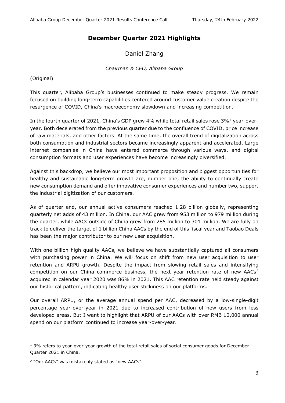# December Quarter 2021 Highlights

Daniel Zhang

Chairman & CEO, Alibaba Group

(Original)

This quarter, Alibaba Group's businesses continued to make steady progress. We remain focused on building long-term capabilities centered around customer value creation despite the resurgence of COVID, China's macroeconomy slowdown and increasing competition.

In the fourth quarter of 2021, China's GDP grew 4% while total retail sales rose  $3\%$ <sup>1</sup> year-overyear. Both decelerated from the previous quarter due to the confluence of COVID, price increase of raw materials, and other factors. At the same time, the overall trend of digitalization across both consumption and industrial sectors became increasingly apparent and accelerated. Large internet companies in China have entered commerce through various ways, and digital consumption formats and user experiences have become increasingly diversified.

Against this backdrop, we believe our most important proposition and biggest opportunities for healthy and sustainable long-term growth are, number one, the ability to continually create new consumption demand and offer innovative consumer experiences and number two, support the industrial digitization of our customers.

As of quarter end, our annual active consumers reached 1.28 billion globally, representing quarterly net adds of 43 million. In China, our AAC grew from 953 million to 979 million during the quarter, while AACs outside of China grew from 285 million to 301 million. We are fully on track to deliver the target of 1 billion China AACs by the end of this fiscal year and Taobao Deals has been the major contributor to our new user acquisition.

With one billion high quality AACs, we believe we have substantially captured all consumers with purchasing power in China. We will focus on shift from new user acquisition to user retention and ARPU growth. Despite the impact from slowing retail sales and intensifying competition on our China commerce business, the next year retention rate of new  $AACs<sup>2</sup>$ acquired in calendar year 2020 was 86% in 2021. This AAC retention rate held steady against our historical pattern, indicating healthy user stickiness on our platforms.

Our overall ARPU, or the average annual spend per AAC, decreased by a low-single-digit percentage year-over-year in 2021 due to increased contribution of new users from less developed areas. But I want to highlight that ARPU of our AACs with over RMB 10,000 annual spend on our platform continued to increase year-over-year.

<sup>-</sup><sup>1</sup> 3% refers to year-over-year growth of the total retail sales of social consumer goods for December Quarter 2021 in China.

<sup>&</sup>lt;sup>2</sup> "Our AACs" was mistakenly stated as "new AACs".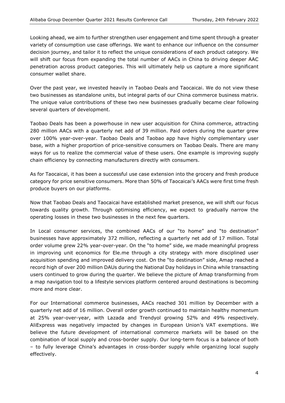Looking ahead, we aim to further strengthen user engagement and time spent through a greater variety of consumption use case offerings. We want to enhance our influence on the consumer decision journey, and tailor it to reflect the unique considerations of each product category. We will shift our focus from expanding the total number of AACs in China to driving deeper AAC penetration across product categories. This will ultimately help us capture a more significant consumer wallet share.

Over the past year, we invested heavily in Taobao Deals and Taocaicai. We do not view these two businesses as standalone units, but integral parts of our China commerce business matrix. The unique value contributions of these two new businesses gradually became clear following several quarters of development.

Taobao Deals has been a powerhouse in new user acquisition for China commerce, attracting 280 million AACs with a quarterly net add of 39 million. Paid orders during the quarter grew over 100% year-over-year. Taobao Deals and Taobao app have highly complementary user base, with a higher proportion of price-sensitive consumers on Taobao Deals. There are many ways for us to realize the commercial value of these users. One example is improving supply chain efficiency by connecting manufacturers directly with consumers.

As for Taocaicai, it has been a successful use case extension into the grocery and fresh produce category for price sensitive consumers. More than 50% of Taocaicai's AACs were first time fresh produce buyers on our platforms.

Now that Taobao Deals and Taocaicai have established market presence, we will shift our focus towards quality growth. Through optimising efficiency, we expect to gradually narrow the operating losses in these two businesses in the next few quarters.

In Local consumer services, the combined AACs of our "to home" and "to destination" businesses have approximately 372 million, reflecting a quarterly net add of 17 million. Total order volume grew 22% year-over-year. On the "to home" side, we made meaningful progress in improving unit economics for Ele.me through a city strategy with more disciplined user acquisition spending and improved delivery cost. On the "to destination" side, Amap reached a record high of over 200 million DAUs during the National Day holidays in China while transacting users continued to grow during the quarter. We believe the picture of Amap transforming from a map navigation tool to a lifestyle services platform centered around destinations is becoming more and more clear.

For our International commerce businesses, AACs reached 301 million by December with a quarterly net add of 16 million. Overall order growth continued to maintain healthy momentum at 25% year-over-year, with Lazada and Trendyol growing 52% and 49% respectively. AliExpress was negatively impacted by changes in European Union's VAT exemptions. We believe the future development of international commerce markets will be based on the combination of local supply and cross-border supply. Our long-term focus is a balance of both – to fully leverage China's advantages in cross-border supply while organizing local supply effectively.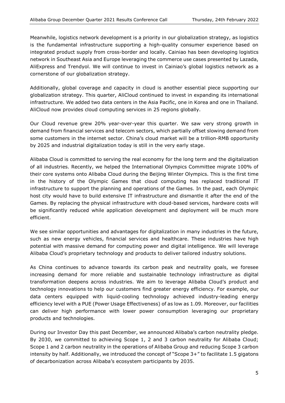Meanwhile, logistics network development is a priority in our globalization strategy, as logistics is the fundamental infrastructure supporting a high-quality consumer experience based on integrated product supply from cross-border and locally. Cainiao has been developing logistics network in Southeast Asia and Europe leveraging the commerce use cases presented by Lazada, AliExpress and Trendyol. We will continue to invest in Cainiao's global logistics network as a cornerstone of our globalization strategy.

Additionally, global coverage and capacity in cloud is another essential piece supporting our globalization strategy. This quarter, AliCloud continued to invest in expanding its international infrastructure. We added two data centers in the Asia Pacific, one in Korea and one in Thailand. AliCloud now provides cloud computing services in 25 regions globally.

Our Cloud revenue grew 20% year-over-year this quarter. We saw very strong growth in demand from financial services and telecom sectors, which partially offset slowing demand from some customers in the internet sector. China's cloud market will be a trillion-RMB opportunity by 2025 and industrial digitalization today is still in the very early stage.

Alibaba Cloud is committed to serving the real economy for the long term and the digitalization of all industries. Recently, we helped the International Olympics Committee migrate 100% of their core systems onto Alibaba Cloud during the Beijing Winter Olympics. This is the first time in the history of the Olympic Games that cloud computing has replaced traditional IT infrastructure to support the planning and operations of the Games. In the past, each Olympic host city would have to build extensive IT infrastructure and dismantle it after the end of the Games. By replacing the physical infrastructure with cloud-based services, hardware costs will be significantly reduced while application development and deployment will be much more efficient.

We see similar opportunities and advantages for digitalization in many industries in the future, such as new energy vehicles, financial services and healthcare. These industries have high potential with massive demand for computing power and digital intelligence. We will leverage Alibaba Cloud's proprietary technology and products to deliver tailored industry solutions.

As China continues to advance towards its carbon peak and neutrality goals, we foresee increasing demand for more reliable and sustainable technology infrastructure as digital transformation deepens across industries. We aim to leverage Alibaba Cloud's product and technology innovations to help our customers find greater energy efficiency. For example, our data centers equipped with liquid-cooling technology achieved industry-leading energy efficiency level with a PUE (Power Usage Effectiveness) of as low as 1.09. Moreover, our facilities can deliver high performance with lower power consumption leveraging our proprietary products and technologies.

During our Investor Day this past December, we announced Alibaba's carbon neutrality pledge. By 2030, we committed to achieving Scope 1, 2 and 3 carbon neutrality for Alibaba Cloud; Scope 1 and 2 carbon neutrality in the operations of Alibaba Group and reducing Scope 3 carbon intensity by half. Additionally, we introduced the concept of "Scope 3+" to facilitate 1.5 gigatons of decarbonization across Alibaba's ecosystem participants by 2035.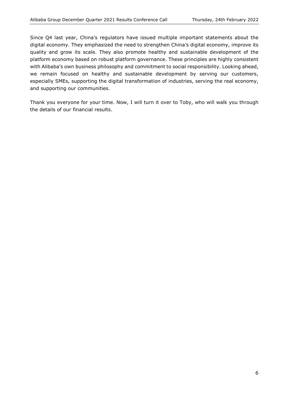Since Q4 last year, China's regulators have issued multiple important statements about the digital economy. They emphasized the need to strengthen China's digital economy, improve its quality and grow its scale. They also promote healthy and sustainable development of the platform economy based on robust platform governance. These principles are highly consistent with Alibaba's own business philosophy and commitment to social responsibility. Looking ahead, we remain focused on healthy and sustainable development by serving our customers, especially SMEs, supporting the digital transformation of industries, serving the real economy, and supporting our communities.

Thank you everyone for your time. Now, I will turn it over to Toby, who will walk you through the details of our financial results.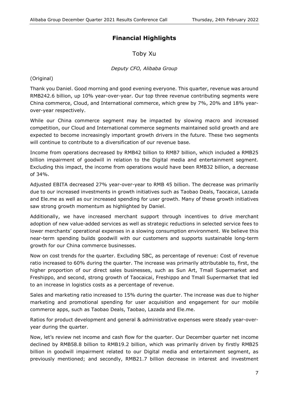# Financial Highlights

Toby Xu

#### Deputy CFO, Alibaba Group

(Original)

Thank you Daniel. Good morning and good evening everyone. This quarter, revenue was around RMB242.6 billion, up 10% year-over-year. Our top three revenue contributing segments were China commerce, Cloud, and International commerce, which grew by 7%, 20% and 18% yearover-year respectively.

While our China commerce segment may be impacted by slowing macro and increased competition, our Cloud and International commerce segments maintained solid growth and are expected to become increasingly important growth drivers in the future. These two segments will continue to contribute to a diversification of our revenue base.

Income from operations decreased by RMB42 billion to RMB7 billion, which included a RMB25 billion impairment of goodwill in relation to the Digital media and entertainment segment. Excluding this impact, the income from operations would have been RMB32 billion, a decrease of 34%.

Adjusted EBITA decreased 27% year-over-year to RMB 45 billion. The decrease was primarily due to our increased investments in growth initiatives such as Taobao Deals, Taocaicai, Lazada and Ele.me as well as our increased spending for user growth. Many of these growth initiatives saw strong growth momentum as highlighted by Daniel.

Additionally, we have increased merchant support through incentives to drive merchant adoption of new value-added services as well as strategic reductions in selected service fees to lower merchants' operational expenses in a slowing consumption environment. We believe this near-term spending builds goodwill with our customers and supports sustainable long-term growth for our China commerce businesses.

Now on cost trends for the quarter. Excluding SBC, as percentage of revenue: Cost of revenue ratio increased to 60% during the quarter. The increase was primarily attributable to, first, the higher proportion of our direct sales businesses, such as Sun Art, Tmall Supermarket and Freshippo, and second, strong growth of Taocaicai, Freshippo and Tmall Supermarket that led to an increase in logistics costs as a percentage of revenue.

Sales and marketing ratio increased to 15% during the quarter. The increase was due to higher marketing and promotional spending for user acquisition and engagement for our mobile commerce apps, such as Taobao Deals, Taobao, Lazada and Ele.me.

Ratios for product development and general & administrative expenses were steady year-overyear during the quarter.

Now, let's review net income and cash flow for the quarter. Our December quarter net income declined by RMB58.8 billion to RMB19.2 billion, which was primarily driven by firstly RMB25 billion in goodwill impairment related to our Digital media and entertainment segment, as previously mentioned; and secondly, RMB21.7 billion decrease in interest and investment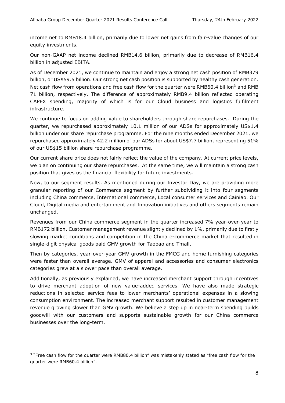income net to RMB18.4 billion, primarily due to lower net gains from fair-value changes of our equity investments.

Our non-GAAP net income declined RMB14.6 billion, primarily due to decrease of RMB16.4 billion in adjusted EBITA.

As of December 2021, we continue to maintain and enjoy a strong net cash position of RMB379 billion, or US\$59.5 billion. Our strong net cash position is supported by healthy cash generation. Net cash flow from operations and free cash flow for the quarter were RMB60.4 billion<sup>3</sup> and RMB 71 billion, respectively. The difference of approximately RMB9.4 billion reflected operating CAPEX spending, majority of which is for our Cloud business and logistics fulfilment infrastructure.

We continue to focus on adding value to shareholders through share repurchases. During the quarter, we repurchased approximately 10.1 million of our ADSs for approximately US\$1.4 billion under our share repurchase programme. For the nine months ended December 2021, we repurchased approximately 42.2 million of our ADSs for about US\$7.7 billion, representing 51% of our US\$15 billion share repurchase programme.

Our current share price does not fairly reflect the value of the company. At current price levels, we plan on continuing our share repurchases. At the same time, we will maintain a strong cash position that gives us the financial flexibility for future investments.

Now, to our segment results. As mentioned during our Investor Day, we are providing more granular reporting of our Commerce segment by further subdividing it into four segments including China commerce, International commerce, Local consumer services and Cainiao. Our Cloud, Digital media and entertainment and Innovation initiatives and others segments remain unchanged.

Revenues from our China commerce segment in the quarter increased 7% year-over-year to RMB172 billion. Customer management revenue slightly declined by 1%, primarily due to firstly slowing market conditions and competition in the China e-commerce market that resulted in single-digit physical goods paid GMV growth for Taobao and Tmall.

Then by categories, year-over-year GMV growth in the FMCG and home furnishing categories were faster than overall average. GMV of apparel and accessories and consumer electronics categories grew at a slower pace than overall average.

Additionally, as previously explained, we have increased merchant support through incentives to drive merchant adoption of new value-added services. We have also made strategic reductions in selected service fees to lower merchants' operational expenses in a slowing consumption environment. The increased merchant support resulted in customer management revenue growing slower than GMV growth. We believe a step up in near-term spending builds goodwill with our customers and supports sustainable growth for our China commerce businesses over the long-term.

È,

<sup>&</sup>lt;sup>3</sup> "Free cash flow for the quarter were RMB80.4 billion" was mistakenly stated as "free cash flow for the quarter were RMB60.4 billion".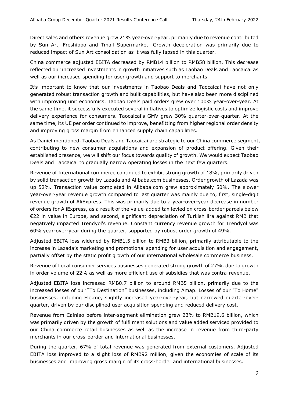Direct sales and others revenue grew 21% year-over-year, primarily due to revenue contributed by Sun Art, Freshippo and Tmall Supermarket. Growth deceleration was primarily due to reduced impact of Sun Art consolidation as it was fully lapsed in this quarter.

China commerce adjusted EBITA decreased by RMB14 billion to RMB58 billion. This decrease reflected our increased investments in growth initiatives such as Taobao Deals and Taocaicai as well as our increased spending for user growth and support to merchants.

It's important to know that our investments in Taobao Deals and Taocaicai have not only generated robust transaction growth and built capabilities, but have also been more disciplined with improving unit economics. Taobao Deals paid orders grew over 100% year-over-year. At the same time, it successfully executed several initiatives to optimize logistic costs and improve delivery experience for consumers. Taocaicai's GMV grew 30% quarter-over-quarter. At the same time, its UE per order continued to improve, benefitting from higher regional order density and improving gross margin from enhanced supply chain capabilities.

As Daniel mentioned, Taobao Deals and Taocaicai are strategic to our China commerce segment, contributing to new consumer acquisitions and expansion of product offering. Given their established presence, we will shift our focus towards quality of growth. We would expect Taobao Deals and Taocaicai to gradually narrow operating losses in the next few quarters.

Revenue of International commerce continued to exhibit strong growth of 18%, primarily driven by solid transaction growth by Lazada and Alibaba.com businesses. Order growth of Lazada was up 52%. Transaction value completed in Alibaba.com grew approximately 50%. The slower year-over-year revenue growth compared to last quarter was mainly due to, first, single-digit revenue growth of AliExpress. This was primarily due to a year-over-year decrease in number of orders for AliExpress, as a result of the value-added tax levied on cross-border parcels below €22 in value in Europe, and second, significant depreciation of Turkish lira against RMB that negatively impacted Trendyol's revenue. Constant currency revenue growth for Trendyol was 60% year-over-year during the quarter, supported by robust order growth of 49%.

Adjusted EBITA loss widened by RMB1.5 billion to RMB3 billion, primarily attributable to the increase in Lazada's marketing and promotional spending for user acquisition and engagement, partially offset by the static profit growth of our international wholesale commerce business.

Revenue of Local consumer services businesses generated strong growth of 27%, due to growth in order volume of 22% as well as more efficient use of subsidies that was contra-revenue.

Adjusted EBITA loss increased RMB0.7 billion to around RMB5 billion, primarily due to the increased losses of our "To Destination" businesses, including Amap. Losses of our "To Home" businesses, including Ele.me, slightly increased year-over-year, but narrowed quarter-overquarter, driven by our disciplined user acquisition spending and reduced delivery cost.

Revenue from Cainiao before inter-segment elimination grew 23% to RMB19.6 billion, which was primarily driven by the growth of fulfilment solutions and value added serviced provided to our China commerce retail businesses as well as the increase in revenue from third-party merchants in our cross-border and international businesses.

During the quarter, 67% of total revenue was generated from external customers. Adjusted EBITA loss improved to a slight loss of RMB92 million, given the economies of scale of its businesses and improving gross margin of its cross-border and international businesses.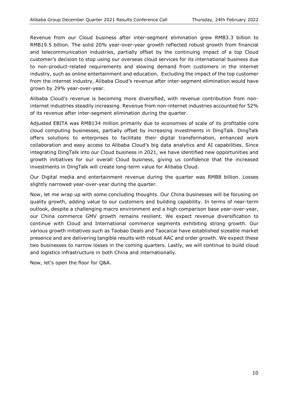Revenue from our Cloud business after inter-segment elimination grew RMB3.3 billion to RMB19.5 billion. The solid 20% year-over-year growth reflected robust growth from financial and telecommunication industries, partially offset by the continuing impact of a top Cloud customer's decision to stop using our overseas cloud services for its international business due to non-product-related requirements and slowing demand from customers in the internet industry, such as online entertainment and education. Excluding the impact of the top customer from the internet industry, Alibaba Cloud's revenue after inter-segment elimination would have grown by 29% year-over-year.

Alibaba Cloud's revenue is becoming more diversified, with revenue contribution from noninternet industries steadily increasing. Revenue from non-internet industries accounted for 52% of its revenue after inter-segment elimination during the quarter.

Adjusted EBITA was RMB134 million primarily due to economies of scale of its profitable core cloud computing businesses, partially offset by increasing investments in DingTalk. DingTalk offers solutions to enterprises to facilitate their digital transformation, enhanced work collaboration and easy access to Alibaba Cloud's big data analytics and AI capabilities. Since integrating DingTalk into our Cloud business in 2021, we have identified new opportunities and growth initiatives for our overall Cloud business, giving us confidence that the increased investments in DingTalk will create long-term value for Alibaba Cloud.

Our Digital media and entertainment revenue during the quarter was RMB8 billion. Losses slightly narrowed year-over-year during the quarter.

Now, let me wrap up with some concluding thoughts. Our China businesses will be focusing on quality growth, adding value to our customers and building capability. In terms of near-term outlook, despite a challenging macro environment and a high comparison base year-over-year, our China commerce GMV growth remains resilient. We expect revenue diversification to continue with Cloud and International commerce segments exhibiting strong growth. Our various growth initiatives such as Taobao Deals and Taocaicai have established sizeable market presence and are delivering tangible results with robust AAC and order growth. We expect these two businesses to narrow losses in the coming quarters. Lastly, we will continue to build cloud and logistics infrastructure in both China and internationally.

Now, let's open the floor for Q&A.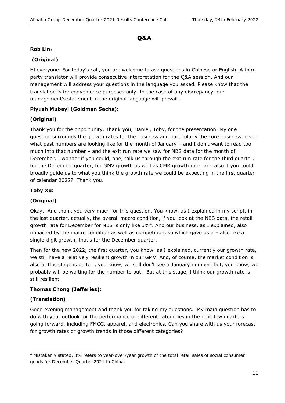# Q&A

#### Rob Lin:

# (Original)

Hi everyone. For today's call, you are welcome to ask questions in Chinese or English. A thirdparty translator will provide consecutive interpretation for the Q&A session. And our management will address your questions in the language you asked. Please know that the translation is for convenience purposes only. In the case of any discrepancy, our management's statement in the original language will prevail.

# Piyush Mubayi (Goldman Sachs):

# (Original)

Thank you for the opportunity. Thank you, Daniel, Toby, for the presentation. My one question surrounds the growth rates for the business and particularly the core business, given what past numbers are looking like for the month of January – and I don't want to read too much into that number – and the exit run rate we saw for NBS data for the month of December, I wonder if you could, one, talk us through the exit run rate for the third quarter, for the December quarter, for GMV growth as well as CMR growth rate, and also if you could broadly guide us to what you think the growth rate we could be expecting in the first quarter of calendar 2022? Thank you.

#### Toby Xu:

#### (Original)

Okay. And thank you very much for this question. You know, as I explained in my script, in the last quarter, actually, the overall macro condition, if you look at the NBS data, the retail growth rate for December for NBS is only like 3%<sup>4</sup>. And our business, as I explained, also impacted by the macro condition as well as competition, so which gave us a – also like a single-digit growth, that's for the December quarter.

Then for the new 2022, the first quarter, you know, as I explained, currently our growth rate, we still have a relatively resilient growth in our GMV. And, of course, the market condition is also at this stage is quite…, you know, we still don't see a January number, but, you know, we probably will be waiting for the number to out. But at this stage, I think our growth rate is still resilient.

#### Thomas Chong (Jefferies):

# (Translation)

Good evening management and thank you for taking my questions. My main question has to do with your outlook for the performance of different categories in the next few quarters going forward, including FMCG, apparel, and electronics. Can you share with us your forecast for growth rates or growth trends in those different categories?

È, 4 Mistakenly stated, 3% refers to year-over-year growth of the total retail sales of social consumer goods for December Quarter 2021 in China.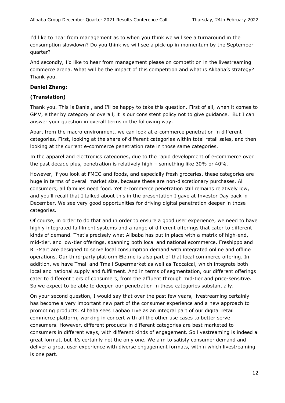I'd like to hear from management as to when you think we will see a turnaround in the consumption slowdown? Do you think we will see a pick-up in momentum by the September quarter?

And secondly, I'd like to hear from management please on competition in the livestreaming commerce arena. What will be the impact of this competition and what is Alibaba's strategy? Thank you.

#### Daniel Zhang:

# (Translation)

Thank you. This is Daniel, and I'll be happy to take this question. First of all, when it comes to GMV, either by category or overall, it is our consistent policy not to give guidance. But I can answer your question in overall terms in the following way.

Apart from the macro environment, we can look at e-commerce penetration in different categories. First, looking at the share of different categories within total retail sales, and then looking at the current e-commerce penetration rate in those same categories.

In the apparel and electronics categories, due to the rapid development of e-commerce over the past decade plus, penetration is relatively high – something like 30% or 40%.

However, if you look at FMCG and foods, and especially fresh groceries, these categories are huge in terms of overall market size, because these are non-discretionary purchases. All consumers, all families need food. Yet e-commerce penetration still remains relatively low, and you'll recall that I talked about this in the presentation I gave at Investor Day back in December. We see very good opportunities for driving digital penetration deeper in those categories.

Of course, in order to do that and in order to ensure a good user experience, we need to have highly integrated fulfilment systems and a range of different offerings that cater to different kinds of demand. That's precisely what Alibaba has put in place with a matrix of high-end, mid-tier, and low-tier offerings, spanning both local and national ecommerce. Freshippo and RT-Mart are designed to serve local consumption demand with integrated online and offline operations. Our third-party platform Ele.me is also part of that local commerce offering. In addition, we have Tmall and Tmall Supermarket as well as Taocaicai, which integrate both local and national supply and fulfilment. And in terms of segmentation, our different offerings cater to different tiers of consumers, from the affluent through mid-tier and price-sensitive. So we expect to be able to deepen our penetration in these categories substantially.

On your second question, I would say that over the past few years, livestreaming certainly has become a very important new part of the consumer experience and a new approach to promoting products. Alibaba sees Taobao Live as an integral part of our digital retail commerce platform, working in concert with all the other use cases to better serve consumers. However, different products in different categories are best marketed to consumers in different ways, with different kinds of engagement. So livestreaming is indeed a great format, but it's certainly not the only one. We aim to satisfy consumer demand and deliver a great user experience with diverse engagement formats, within which livestreaming is one part.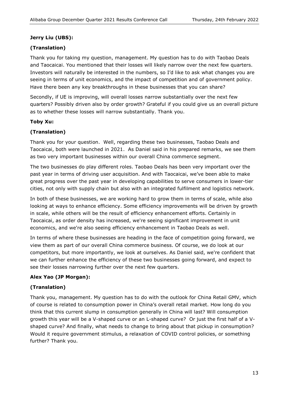#### Jerry Liu (UBS):

# (Translation)

Thank you for taking my question, management. My question has to do with Taobao Deals and Taocaicai. You mentioned that their losses will likely narrow over the next few quarters. Investors will naturally be interested in the numbers, so I'd like to ask what changes you are seeing in terms of unit economics, and the impact of competition and of government policy. Have there been any key breakthroughs in these businesses that you can share?

Secondly, if UE is improving, will overall losses narrow substantially over the next few quarters? Possibly driven also by order growth? Grateful if you could give us an overall picture as to whether these losses will narrow substantially. Thank you.

#### Toby Xu:

# (Translation)

Thank you for your question. Well, regarding these two businesses, Taobao Deals and Taocaicai, both were launched in 2021. As Daniel said in his prepared remarks, we see them as two very important businesses within our overall China commerce segment.

The two businesses do play different roles. Taobao Deals has been very important over the past year in terms of driving user acquisition. And with Taocaicai, we've been able to make great progress over the past year in developing capabilities to serve consumers in lower-tier cities, not only with supply chain but also with an integrated fulfilment and logistics network.

In both of these businesses, we are working hard to grow them in terms of scale, while also looking at ways to enhance efficiency. Some efficiency improvements will be driven by growth in scale, while others will be the result of efficiency enhancement efforts. Certainly in Taocaicai, as order density has increased, we're seeing significant improvement in unit economics, and we're also seeing efficiency enhancement in Taobao Deals as well.

In terms of where these businesses are heading in the face of competition going forward, we view them as part of our overall China commerce business. Of course, we do look at our competitors, but more importantly, we look at ourselves. As Daniel said, we're confident that we can further enhance the efficiency of these two businesses going forward, and expect to see their losses narrowing further over the next few quarters.

# Alex Yao (JP Morgan):

# (Translation)

Thank you, management. My question has to do with the outlook for China Retail GMV, which of course is related to consumption power in China's overall retail market. How long do you think that this current slump in consumption generally in China will last? Will consumption growth this year will be a V-shaped curve or an L-shaped curve? Or just the first half of a Vshaped curve? And finally, what needs to change to bring about that pickup in consumption? Would it require government stimulus, a relaxation of COVID control policies, or something further? Thank you.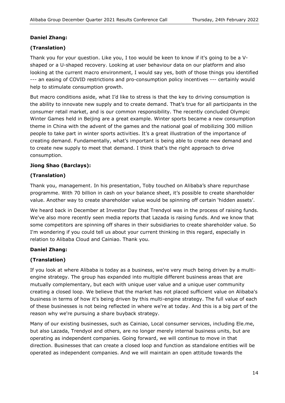# Daniel Zhang:

# (Translation)

Thank you for your question. Like you, I too would be keen to know if it's going to be a Vshaped or a U-shaped recovery. Looking at user behaviour data on our platform and also looking at the current macro environment, I would say yes, both of those things you identified --- an easing of COVID restrictions and pro-consumption policy incentives --- certainly would help to stimulate consumption growth.

But macro conditions aside, what I'd like to stress is that the key to driving consumption is the ability to innovate new supply and to create demand. That's true for all participants in the consumer retail market, and is our common responsibility. The recently concluded Olympic Winter Games held in Beijing are a great example. Winter sports became a new consumption theme in China with the advent of the games and the national goal of mobilizing 300 million people to take part in winter sports activities. It's a great illustration of the importance of creating demand. Fundamentally, what's important is being able to create new demand and to create new supply to meet that demand. I think that's the right approach to drive consumption.

# Jiong Shao (Barclays):

# (Translation)

Thank you, management. In his presentation, Toby touched on Alibaba's share repurchase programme. With 70 billion in cash on your balance sheet, it's possible to create shareholder value. Another way to create shareholder value would be spinning off certain 'hidden assets'.

We heard back in December at Investor Day that Trendyol was in the process of raising funds. We've also more recently seen media reports that Lazada is raising funds. And we know that some competitors are spinning off shares in their subsidiaries to create shareholder value. So I'm wondering if you could tell us about your current thinking in this regard, especially in relation to Alibaba Cloud and Cainiao. Thank you.

#### Daniel Zhang:

# (Translation)

If you look at where Alibaba is today as a business, we're very much being driven by a multiengine strategy. The group has expanded into multiple different business areas that are mutually complementary, but each with unique user value and a unique user community creating a closed loop. We believe that the market has not placed sufficient value on Alibaba's business in terms of how it's being driven by this multi-engine strategy. The full value of each of these businesses is not being reflected in where we're at today. And this is a big part of the reason why we're pursuing a share buyback strategy.

Many of our existing businesses, such as Cainiao, Local consumer services, including Ele.me, but also Lazada, Trendyol and others, are no longer merely internal business units, but are operating as independent companies. Going forward, we will continue to move in that direction. Businesses that can create a closed loop and function as standalone entities will be operated as independent companies. And we will maintain an open attitude towards the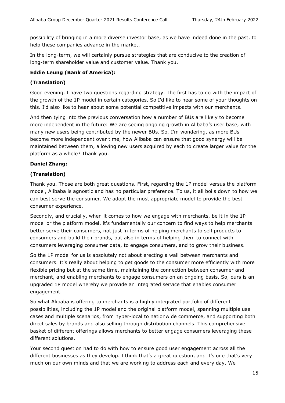possibility of bringing in a more diverse investor base, as we have indeed done in the past, to help these companies advance in the market.

In the long-term, we will certainly pursue strategies that are conducive to the creation of long-term shareholder value and customer value. Thank you.

#### Eddie Leung (Bank of America):

#### (Translation)

Good evening. I have two questions regarding strategy. The first has to do with the impact of the growth of the 1P model in certain categories. So I'd like to hear some of your thoughts on this. I'd also like to hear about some potential competitive impacts with our merchants.

And then tying into the previous conversation how a number of BUs are likely to become more independent in the future: We are seeing ongoing growth in Alibaba's user base, with many new users being contributed by the newer BUs. So, I'm wondering, as more BUs become more independent over time, how Alibaba can ensure that good synergy will be maintained between them, allowing new users acquired by each to create larger value for the platform as a whole? Thank you.

#### Daniel Zhang:

# (Translation)

Thank you. Those are both great questions. First, regarding the 1P model versus the platform model, Alibaba is agnostic and has no particular preference. To us, it all boils down to how we can best serve the consumer. We adopt the most appropriate model to provide the best consumer experience.

Secondly, and crucially, when it comes to how we engage with merchants, be it in the 1P model or the platform model, it's fundamentally our concern to find ways to help merchants better serve their consumers, not just in terms of helping merchants to sell products to consumers and build their brands, but also in terms of helping them to connect with consumers leveraging consumer data, to engage consumers, and to grow their business.

So the 1P model for us is absolutely not about erecting a wall between merchants and consumers. It's really about helping to get goods to the consumer more efficiently with more flexible pricing but at the same time, maintaining the connection between consumer and merchant, and enabling merchants to engage consumers on an ongoing basis. So, ours is an upgraded 1P model whereby we provide an integrated service that enables consumer engagement.

So what Alibaba is offering to merchants is a highly integrated portfolio of different possibilities, including the 1P model and the original platform model, spanning multiple use cases and multiple scenarios, from hyper-local to nationwide commerce, and supporting both direct sales by brands and also selling through distribution channels. This comprehensive basket of different offerings allows merchants to better engage consumers leveraging these different solutions.

Your second question had to do with how to ensure good user engagement across all the different businesses as they develop. I think that's a great question, and it's one that's very much on our own minds and that we are working to address each and every day. We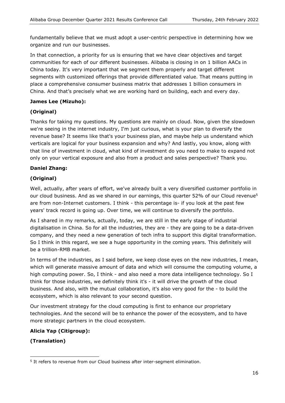fundamentally believe that we must adopt a user-centric perspective in determining how we organize and run our businesses.

In that connection, a priority for us is ensuring that we have clear objectives and target communities for each of our different businesses. Alibaba is closing in on 1 billion AACs in China today. It's very important that we segment them properly and target different segments with customized offerings that provide differentiated value. That means putting in place a comprehensive consumer business matrix that addresses 1 billion consumers in China. And that's precisely what we are working hard on building, each and every day.

#### James Lee (Mizuho):

# (Original)

Thanks for taking my questions. My questions are mainly on cloud. Now, given the slowdown we're seeing in the internet industry, I'm just curious, what is your plan to diversify the revenue base? It seems like that's your business plan, and maybe help us understand which verticals are logical for your business expansion and why? And lastly, you know, along with that line of investment in cloud, what kind of investment do you need to make to expand not only on your vertical exposure and also from a product and sales perspective? Thank you.

#### Daniel Zhang:

# (Original)

Well, actually, after years of effort, we've already built a very diversified customer portfolio in our cloud business. And as we shared in our earnings, this quarter 52% of our Cloud revenue<sup>5</sup> are from non-Internet customers. I think - this percentage is- if you look at the past few years' track record is going up. Over time, we will continue to diversify the portfolio.

As I shared in my remarks, actually, today, we are still in the early stage of industrial digitalisation in China. So for all the industries, they are - they are going to be a data-driven company, and they need a new generation of tech infra to support this digital transformation. So I think in this regard, we see a huge opportunity in the coming years. This definitely will be a trillion-RMB market.

In terms of the industries, as I said before, we keep close eyes on the new industries, I mean, which will generate massive amount of data and which will consume the computing volume, a high computing power. So, I think - and also need a more data intelligence technology. So I think for those industries, we definitely think it's - it will drive the growth of the cloud business. And also, with the mutual collaboration, it's also very good for the - to build the ecosystem, which is also relevant to your second question.

Our investment strategy for the cloud computing is first to enhance our proprietary technologies. And the second will be to enhance the power of the ecosystem, and to have more strategic partners in the cloud ecosystem.

#### Alicia Yap (Citigroup):

# (Translation)

<sup>-</sup><sup>5</sup> It refers to revenue from our Cloud business after inter-segment elimination.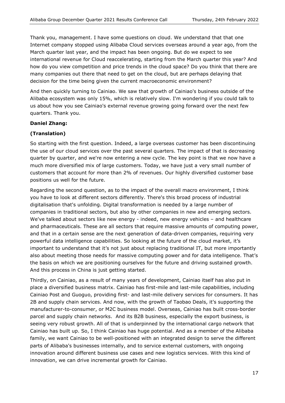Thank you, management. I have some questions on cloud. We understand that that one Internet company stopped using Alibaba Cloud services overseas around a year ago, from the March quarter last year, and the impact has been ongoing. But do we expect to see international revenue for Cloud reaccelerating, starting from the March quarter this year? And how do you view competition and price trends in the cloud space? Do you think that there are many companies out there that need to get on the cloud, but are perhaps delaying that decision for the time being given the current macroeconomic environment?

And then quickly turning to Cainiao. We saw that growth of Cainiao's business outside of the Alibaba ecosystem was only 15%, which is relatively slow. I'm wondering if you could talk to us about how you see Cainiao's external revenue growing going forward over the next few quarters. Thank you.

#### Daniel Zhang:

# (Translation)

So starting with the first question. Indeed, a large overseas customer has been discontinuing the use of our cloud services over the past several quarters. The impact of that is decreasing quarter by quarter, and we're now entering a new cycle. The key point is that we now have a much more diversified mix of large customers. Today, we have just a very small number of customers that account for more than 2% of revenues. Our highly diversified customer base positions us well for the future.

Regarding the second question, as to the impact of the overall macro environment, I think you have to look at different sectors differently. There's this broad process of industrial digitalisation that's unfolding. Digital transformation is needed by a large number of companies in traditional sectors, but also by other companies in new and emerging sectors. We've talked about sectors like new energy - indeed, new energy vehicles - and healthcare and pharmaceuticals. These are all sectors that require massive amounts of computing power, and that in a certain sense are the next generation of data-driven companies, requiring very powerful data intelligence capabilities. So looking at the future of the cloud market, it's important to understand that it's not just about replacing traditional IT, but more importantly also about meeting those needs for massive computing power and for data intelligence. That's the basis on which we are positioning ourselves for the future and driving sustained growth. And this process in China is just getting started.

Thirdly, on Cainiao, as a result of many years of development, Cainiao itself has also put in place a diversified business matrix. Cainiao has first-mile and last-mile capabilities, including Cainiao Post and Guoguo, providing first- and last-mile delivery services for consumers. It has 2B and supply chain services. And now, with the growth of Taobao Deals, it's supporting the manufacturer-to-consumer, or M2C business model. Overseas, Cainiao has built cross-border parcel and supply chain networks. And its B2B business, especially the export business, is seeing very robust growth. All of that is underpinned by the international cargo network that Cainiao has built up. So, I think Cainiao has huge potential. And as a member of the Alibaba family, we want Cainiao to be well-positioned with an integrated design to serve the different parts of Alibaba's businesses internally, and to service external customers, with ongoing innovation around different business use cases and new logistics services. With this kind of innovation, we can drive incremental growth for Cainiao.